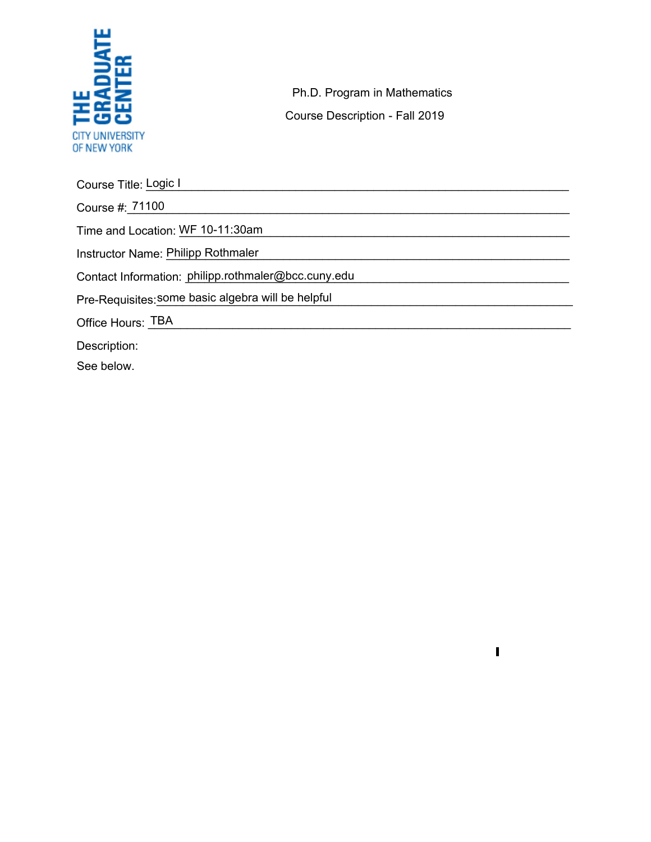

Ph.D. Program in Mathematics Course Description - Fall 2019

 $\mathbf{I}$ 

Course Title: Logic I Course #:\_\_\_\_\_\_\_\_\_\_\_\_\_\_\_\_\_\_\_\_\_\_\_\_\_\_\_\_\_\_\_\_\_\_\_\_\_\_\_\_\_\_\_\_\_\_\_\_\_\_\_\_\_\_\_\_\_\_\_\_\_\_\_\_\_\_\_\_ 71100 Time and Location: \_\_\_\_\_\_\_\_\_\_\_\_\_\_\_\_\_\_\_\_\_\_\_\_\_\_\_\_\_\_\_\_\_\_\_\_\_\_\_\_\_\_\_\_\_\_\_\_\_\_\_\_\_\_\_\_\_\_\_\_ WF 10-11:30am Instructor Name: Philipp Rothmaler **Example 2018** Section 2018 12:30 AM and 2019 12:30 AM and 2019 12:30 AM and 201 Contact Information: philipp.rothmaler@bcc.cuny.edu Pre-Requisites:\_\_\_\_\_\_\_\_\_\_\_\_\_\_\_\_\_\_\_\_\_\_\_\_\_\_\_\_\_\_\_\_\_\_\_\_\_\_\_\_\_\_\_\_\_\_\_\_\_\_\_\_\_\_\_\_\_\_\_\_\_\_\_\_ some basic algebra will be helpful Office Hours: \_\_\_\_\_\_\_\_\_\_\_\_\_\_\_\_\_\_\_\_\_\_\_\_\_\_\_\_\_\_\_\_\_\_\_\_\_\_\_\_\_\_\_\_\_\_\_\_\_\_\_\_\_\_\_\_\_\_\_\_\_\_\_\_\_ TBA Description:

See below.